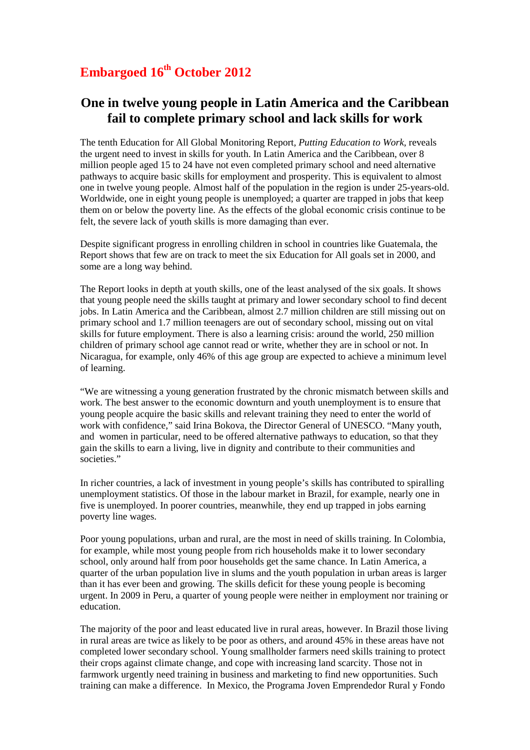## **Embargoed 16th October 2012**

## **One in twelve young people in Latin America and the Caribbean fail to complete primary school and lack skills for work**

The tenth Education for All Global Monitoring Report*, Putting Education to Work,* reveals the urgent need to invest in skills for youth. In Latin America and the Caribbean, over 8 million people aged 15 to 24 have not even completed primary school and need alternative pathways to acquire basic skills for employment and prosperity. This is equivalent to almost one in twelve young people. Almost half of the population in the region is under 25-years-old. Worldwide, one in eight young people is unemployed; a quarter are trapped in jobs that keep them on or below the poverty line. As the effects of the global economic crisis continue to be felt, the severe lack of youth skills is more damaging than ever.

Despite significant progress in enrolling children in school in countries like Guatemala, the Report shows that few are on track to meet the six Education for All goals set in 2000, and some are a long way behind.

The Report looks in depth at youth skills, one of the least analysed of the six goals. It shows that young people need the skills taught at primary and lower secondary school to find decent jobs. In Latin America and the Caribbean, almost 2.7 million children are still missing out on primary school and 1.7 million teenagers are out of secondary school, missing out on vital skills for future employment. There is also a learning crisis: around the world, 250 million children of primary school age cannot read or write, whether they are in school or not. In Nicaragua, for example, only 46% of this age group are expected to achieve a minimum level of learning.

"We are witnessing a young generation frustrated by the chronic mismatch between skills and work. The best answer to the economic downturn and youth unemployment is to ensure that young people acquire the basic skills and relevant training they need to enter the world of work with confidence," said Irina Bokova, the Director General of UNESCO. "Many youth, and women in particular, need to be offered alternative pathways to education, so that they gain the skills to earn a living, live in dignity and contribute to their communities and societies."

In richer countries, a lack of investment in young people's skills has contributed to spiralling unemployment statistics. Of those in the labour market in Brazil, for example, nearly one in five is unemployed. In poorer countries, meanwhile, they end up trapped in jobs earning poverty line wages.

Poor young populations, urban and rural, are the most in need of skills training. In Colombia, for example, while most young people from rich households make it to lower secondary school, only around half from poor households get the same chance. In Latin America, a quarter of the urban population live in slums and the youth population in urban areas is larger than it has ever been and growing. The skills deficit for these young people is becoming urgent. In 2009 in Peru, a quarter of young people were neither in employment nor training or education.

The majority of the poor and least educated live in rural areas, however. In Brazil those living in rural areas are twice as likely to be poor as others, and around 45% in these areas have not completed lower secondary school. Young smallholder farmers need skills training to protect their crops against climate change, and cope with increasing land scarcity. Those not in farmwork urgently need training in business and marketing to find new opportunities. Such training can make a difference. In Mexico, the Programa Joven Emprendedor Rural y Fondo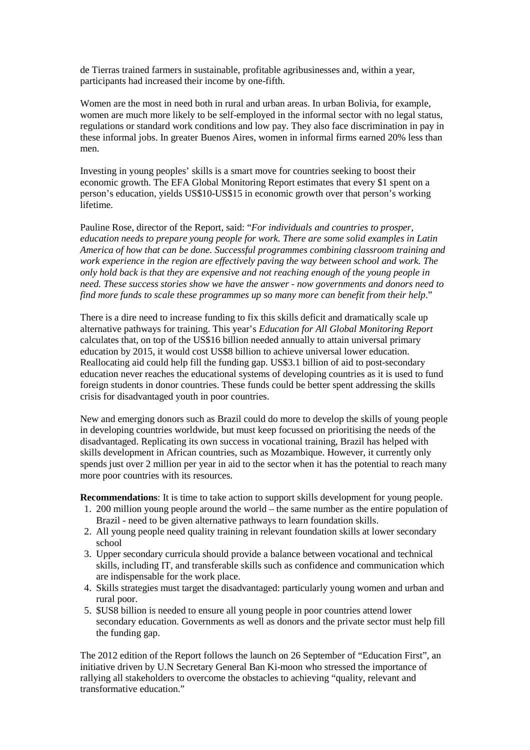de Tierras trained farmers in sustainable, profitable agribusinesses and, within a year, participants had increased their income by one-fifth.

Women are the most in need both in rural and urban areas. In urban Bolivia, for example, women are much more likely to be self-employed in the informal sector with no legal status, regulations or standard work conditions and low pay. They also face discrimination in pay in these informal jobs. In greater Buenos Aires, women in informal firms earned 20% less than men.

Investing in young peoples' skills is a smart move for countries seeking to boost their economic growth. The EFA Global Monitoring Report estimates that every \$1 spent on a person's education, yields US\$10-US\$15 in economic growth over that person's working lifetime.

Pauline Rose, director of the Report, said: "*For individuals and countries to prosper, education needs to prepare young people for work. There are some solid examples in Latin America of how that can be done. Successful programmes combining classroom training and work experience in the region are effectively paving the way between school and work. The only hold back is that they are expensive and not reaching enough of the young people in need. These success stories show we have the answer - now governments and donors need to find more funds to scale these programmes up so many more can benefit from their help*."

There is a dire need to increase funding to fix this skills deficit and dramatically scale up alternative pathways for training. This year's *Education for All Global Monitoring Report*  calculates that, on top of the US\$16 billion needed annually to attain universal primary education by 2015, it would cost US\$8 billion to achieve universal lower education. Reallocating aid could help fill the funding gap. US\$3.1 billion of aid to post-secondary education never reaches the educational systems of developing countries as it is used to fund foreign students in donor countries. These funds could be better spent addressing the skills crisis for disadvantaged youth in poor countries.

New and emerging donors such as Brazil could do more to develop the skills of young people in developing countries worldwide, but must keep focussed on prioritising the needs of the disadvantaged. Replicating its own success in vocational training, Brazil has helped with skills development in African countries, such as Mozambique. However, it currently only spends just over 2 million per year in aid to the sector when it has the potential to reach many more poor countries with its resources.

**Recommendations**: It is time to take action to support skills development for young people.

- 1. 200 million young people around the world the same number as the entire population of Brazil - need to be given alternative pathways to learn foundation skills.
- 2. All young people need quality training in relevant foundation skills at lower secondary school
- 3. Upper secondary curricula should provide a balance between vocational and technical skills, including IT, and transferable skills such as confidence and communication which are indispensable for the work place.
- 4. Skills strategies must target the disadvantaged: particularly young women and urban and rural poor.
- 5. \$US8 billion is needed to ensure all young people in poor countries attend lower secondary education. Governments as well as donors and the private sector must help fill the funding gap.

The 2012 edition of the Report follows the launch on 26 September of "Education First", an initiative driven by U.N Secretary General Ban Ki-moon who stressed the importance of rallying all stakeholders to overcome the obstacles to achieving "quality, relevant and transformative education."